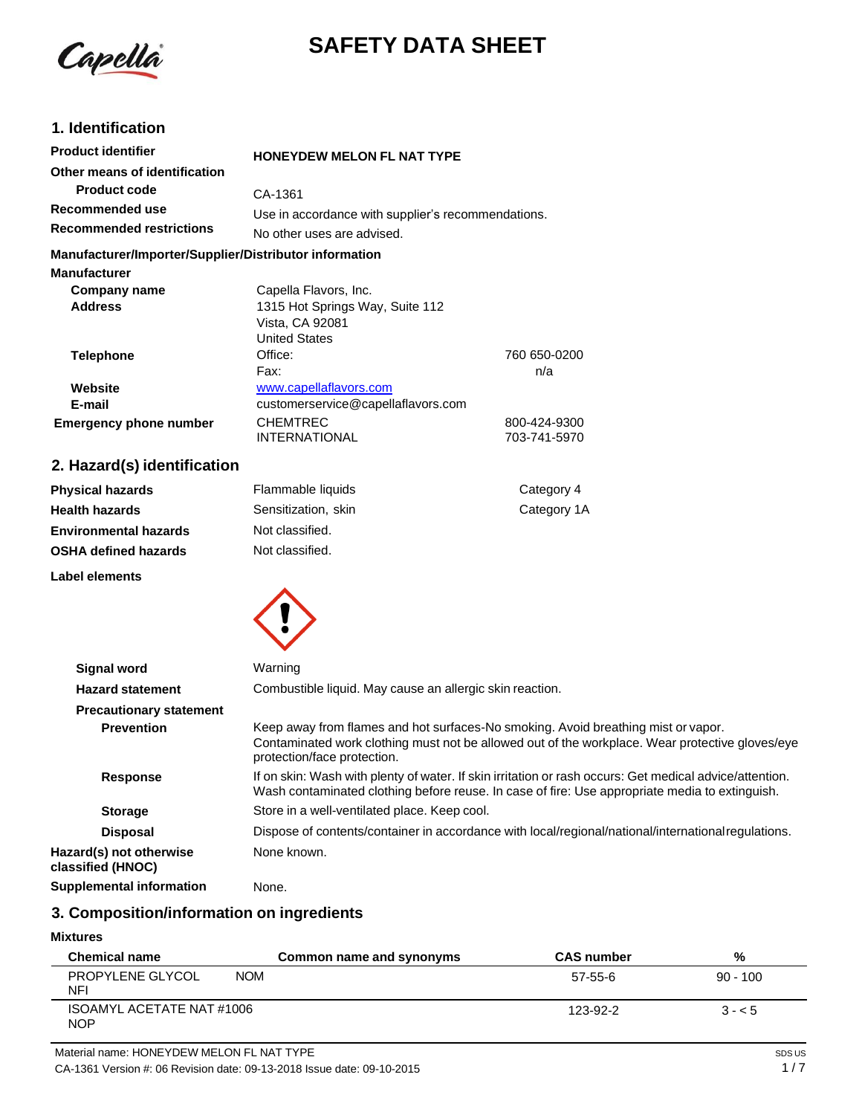

# **SAFETY DATA SHEET**

### **1. Identification**

| <b>Product identifier</b>                                                                                      | <b>HONEYDEW MELON FL NAT TYPE</b>                  |                     |
|----------------------------------------------------------------------------------------------------------------|----------------------------------------------------|---------------------|
| Other means of identification                                                                                  |                                                    |                     |
| <b>Product code</b>                                                                                            | CA-1361                                            |                     |
| Recommended use                                                                                                | Use in accordance with supplier's recommendations. |                     |
| <b>Recommended restrictions</b>                                                                                | No other uses are advised.                         |                     |
| Manufacturer/Importer/Supplier/Distributor information                                                         |                                                    |                     |
| <b>Manufacturer</b>                                                                                            |                                                    |                     |
| Company name                                                                                                   | Capella Flavors, Inc.                              |                     |
| <b>Address</b>                                                                                                 | 1315 Hot Springs Way, Suite 112                    |                     |
|                                                                                                                | Vista, CA 92081                                    |                     |
|                                                                                                                | <b>United States</b>                               |                     |
| <b>Telephone</b>                                                                                               | Office:                                            | 760 650-0200        |
|                                                                                                                | Fax:                                               | n/a                 |
| Website                                                                                                        | www.capellaflavors.com                             |                     |
| E-mail                                                                                                         | customerservice@capellaflavors.com                 |                     |
| <b>Emergency phone number</b>                                                                                  | <b>CHEMTREC</b>                                    | 800-424-9300        |
|                                                                                                                | <b>INTERNATIONAL</b>                               | 703-741-5970        |
| 2. Hazard(s) identification                                                                                    |                                                    |                     |
| Post of the set of the second control of the set of the set of the set of the set of the set of the set of the | المراد والمنافذ المرابط ويستحدث والتتالي           | $\bigcap_{x=1}^{n}$ |

#### **Physical hazards Health hazards Environmental hazards OSHA defined hazards Label elements** Flammable liquids Sensitization, skin Not classified. Not classified. Category 4 Category 1A



| <b>Signal word</b>                           | Warning                                                                                                                                                                                                             |
|----------------------------------------------|---------------------------------------------------------------------------------------------------------------------------------------------------------------------------------------------------------------------|
| <b>Hazard statement</b>                      | Combustible liquid. May cause an allergic skin reaction.                                                                                                                                                            |
| <b>Precautionary statement</b>               |                                                                                                                                                                                                                     |
| <b>Prevention</b>                            | Keep away from flames and hot surfaces-No smoking. Avoid breathing mist or vapor.<br>Contaminated work clothing must not be allowed out of the workplace. Wear protective gloves/eye<br>protection/face protection. |
| <b>Response</b>                              | If on skin: Wash with plenty of water. If skin irritation or rash occurs: Get medical advice/attention.<br>Wash contaminated clothing before reuse. In case of fire: Use appropriate media to extinguish.           |
| <b>Storage</b>                               | Store in a well-ventilated place. Keep cool.                                                                                                                                                                        |
| <b>Disposal</b>                              | Dispose of contents/container in accordance with local/regional/national/international regulations.                                                                                                                 |
| Hazard(s) not otherwise<br>classified (HNOC) | None known.                                                                                                                                                                                                         |
| <b>Supplemental information</b>              | None.                                                                                                                                                                                                               |

#### **3. Composition/information on ingredients**

#### **Mixtures**

| <b>Chemical name</b>                    |            | Common name and synonyms | <b>CAS number</b> | %          |
|-----------------------------------------|------------|--------------------------|-------------------|------------|
| PROPYLENE GLYCOL<br>NFI                 | <b>NOM</b> |                          | 57-55-6           | $90 - 100$ |
| ISOAMYL ACETATE NAT #1006<br><b>NOP</b> |            |                          | 123-92-2          | $3 - 5$    |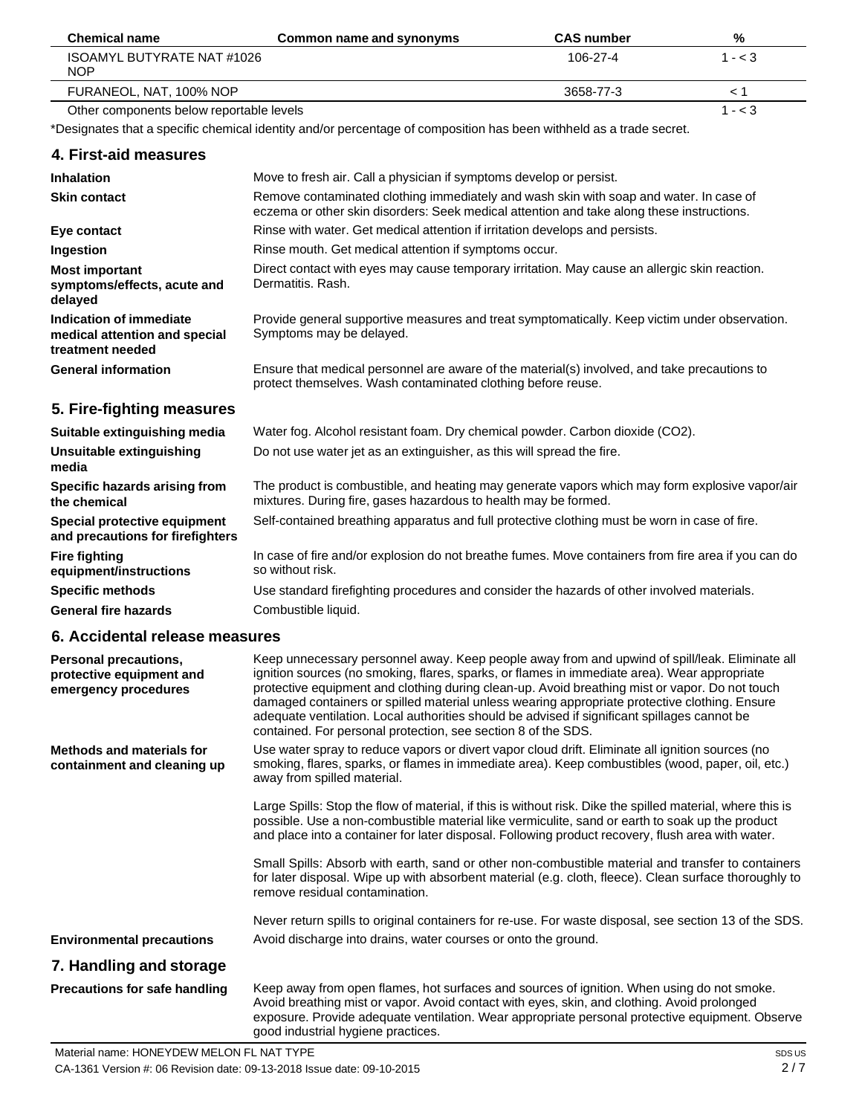| <b>Chemical name</b>                     | Common name and synonyms | <b>CAS</b> number | %         |
|------------------------------------------|--------------------------|-------------------|-----------|
| ISOAMYL BUTYRATE NAT #1026<br><b>NOP</b> |                          | 106-27-4          | $1 - < 3$ |
| FURANEOL, NAT. 100% NOP                  |                          | 3658-77-3         |           |
| Other components below reportable levels |                          |                   | 1 - < 3   |

Other components below reportable levels

\*Designates that a specific chemical identity and/or percentage of composition has been withheld as a trade secret.

#### **4. First-aid measures**

| <b>Inhalation</b>                                                            | Move to fresh air. Call a physician if symptoms develop or persist.                                                                                                                 |
|------------------------------------------------------------------------------|-------------------------------------------------------------------------------------------------------------------------------------------------------------------------------------|
| <b>Skin contact</b>                                                          | Remove contaminated clothing immediately and wash skin with soap and water. In case of<br>eczema or other skin disorders: Seek medical attention and take along these instructions. |
| Eye contact                                                                  | Rinse with water. Get medical attention if irritation develops and persists.                                                                                                        |
| Ingestion                                                                    | Rinse mouth. Get medical attention if symptoms occur.                                                                                                                               |
| <b>Most important</b><br>symptoms/effects, acute and<br>delayed              | Direct contact with eyes may cause temporary irritation. May cause an allergic skin reaction.<br>Dermatitis, Rash.                                                                  |
| Indication of immediate<br>medical attention and special<br>treatment needed | Provide general supportive measures and treat symptomatically. Keep victim under observation.<br>Symptoms may be delayed.                                                           |
| <b>General information</b>                                                   | Ensure that medical personnel are aware of the material(s) involved, and take precautions to<br>protect themselves. Wash contaminated clothing before reuse.                        |

## **5. Fire-fighting measures**

| Suitable extinguishing media                                     | Water fog. Alcohol resistant foam. Dry chemical powder. Carbon dioxide (CO2).                                                                                     |
|------------------------------------------------------------------|-------------------------------------------------------------------------------------------------------------------------------------------------------------------|
| Unsuitable extinguishing<br>media                                | Do not use water jet as an extinguisher, as this will spread the fire.                                                                                            |
| Specific hazards arising from<br>the chemical                    | The product is combustible, and heating may generate vapors which may form explosive vapor/air<br>mixtures. During fire, gases hazardous to health may be formed. |
| Special protective equipment<br>and precautions for firefighters | Self-contained breathing apparatus and full protective clothing must be worn in case of fire.                                                                     |
| <b>Fire fighting</b><br>equipment/instructions                   | In case of fire and/or explosion do not breathe fumes. Move containers from fire area if you can do<br>so without risk.                                           |
| <b>Specific methods</b>                                          | Use standard firefighting procedures and consider the hazards of other involved materials.                                                                        |
| <b>General fire hazards</b>                                      | Combustible liquid.                                                                                                                                               |

#### **6. Accidental release measures**

| Personal precautions,<br>protective equipment and<br>emergency procedures | Keep unnecessary personnel away. Keep people away from and upwind of spill/leak. Eliminate all<br>ignition sources (no smoking, flares, sparks, or flames in immediate area). Wear appropriate<br>protective equipment and clothing during clean-up. Avoid breathing mist or vapor. Do not touch<br>damaged containers or spilled material unless wearing appropriate protective clothing. Ensure<br>adequate ventilation. Local authorities should be advised if significant spillages cannot be<br>contained. For personal protection, see section 8 of the SDS. |
|---------------------------------------------------------------------------|--------------------------------------------------------------------------------------------------------------------------------------------------------------------------------------------------------------------------------------------------------------------------------------------------------------------------------------------------------------------------------------------------------------------------------------------------------------------------------------------------------------------------------------------------------------------|
| <b>Methods and materials for</b><br>containment and cleaning up           | Use water spray to reduce vapors or divert vapor cloud drift. Eliminate all ignition sources (no<br>smoking, flares, sparks, or flames in immediate area). Keep combustibles (wood, paper, oil, etc.)<br>away from spilled material.                                                                                                                                                                                                                                                                                                                               |
|                                                                           | Large Spills: Stop the flow of material, if this is without risk. Dike the spilled material, where this is<br>possible. Use a non-combustible material like vermiculite, sand or earth to soak up the product<br>and place into a container for later disposal. Following product recovery, flush area with water.                                                                                                                                                                                                                                                 |
|                                                                           | Small Spills: Absorb with earth, sand or other non-combustible material and transfer to containers<br>for later disposal. Wipe up with absorbent material (e.g. cloth, fleece). Clean surface thoroughly to<br>remove residual contamination.                                                                                                                                                                                                                                                                                                                      |
|                                                                           | Never return spills to original containers for re-use. For waste disposal, see section 13 of the SDS.                                                                                                                                                                                                                                                                                                                                                                                                                                                              |
| <b>Environmental precautions</b>                                          | Avoid discharge into drains, water courses or onto the ground.                                                                                                                                                                                                                                                                                                                                                                                                                                                                                                     |
| 7. Handling and storage                                                   |                                                                                                                                                                                                                                                                                                                                                                                                                                                                                                                                                                    |
| <b>Precautions for safe handling</b>                                      | Keep away from open flames, hot surfaces and sources of ignition. When using do not smoke.<br>Avoid breathing mist or vapor. Avoid contact with eyes, skin, and clothing. Avoid prolonged<br>exposure. Provide adequate ventilation. Wear appropriate personal protective equipment. Observe<br>good industrial hygiene practices.                                                                                                                                                                                                                                 |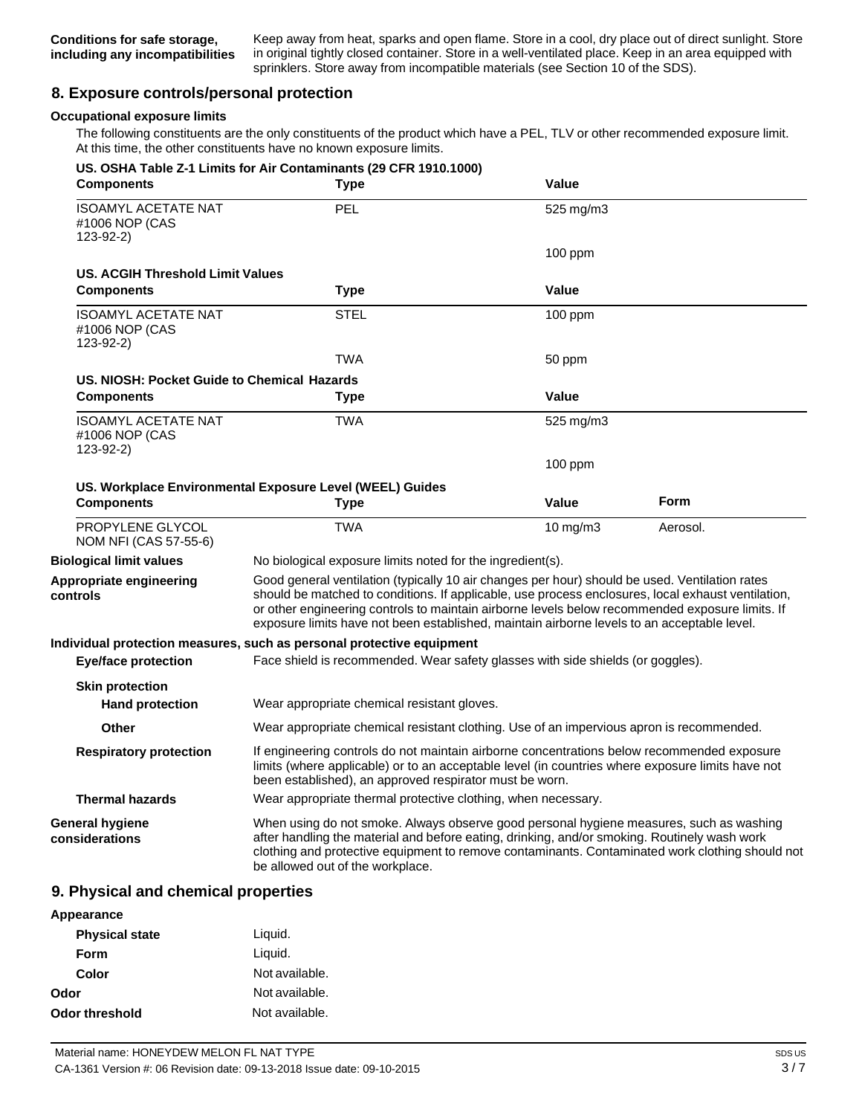Keep away from heat, sparks and open flame. Store in a cool, dry place out of direct sunlight. Store in original tightly closed container. Store in a well-ventilated place. Keep in an area equipped with sprinklers. Store away from incompatible materials (see Section 10 of the SDS).

#### **8. Exposure controls/personal protection**

#### **Occupational exposure limits**

The following constituents are the only constituents of the product which have a PEL, TLV or other recommended exposure limit. At this time, the other constituents have no known exposure limits.

| <b>Components</b>                                           | US. OSHA Table Z-1 Limits for Air Contaminants (29 CFR 1910.1000)<br><b>Type</b>                                                                                                                                                                                                                                                                                                                       | <b>Value</b> |          |
|-------------------------------------------------------------|--------------------------------------------------------------------------------------------------------------------------------------------------------------------------------------------------------------------------------------------------------------------------------------------------------------------------------------------------------------------------------------------------------|--------------|----------|
| <b>ISOAMYL ACETATE NAT</b><br>#1006 NOP (CAS<br>$123-92-2)$ | PEL                                                                                                                                                                                                                                                                                                                                                                                                    | 525 mg/m3    |          |
|                                                             |                                                                                                                                                                                                                                                                                                                                                                                                        | $100$ ppm    |          |
| <b>US. ACGIH Threshold Limit Values</b>                     |                                                                                                                                                                                                                                                                                                                                                                                                        |              |          |
| <b>Components</b>                                           | <b>Type</b>                                                                                                                                                                                                                                                                                                                                                                                            | Value        |          |
| <b>ISOAMYL ACETATE NAT</b><br>#1006 NOP (CAS<br>$123-92-2)$ | <b>STEL</b>                                                                                                                                                                                                                                                                                                                                                                                            | $100$ ppm    |          |
|                                                             | <b>TWA</b>                                                                                                                                                                                                                                                                                                                                                                                             | 50 ppm       |          |
| US, NIOSH: Pocket Guide to Chemical Hazards                 |                                                                                                                                                                                                                                                                                                                                                                                                        |              |          |
| <b>Components</b>                                           | <b>Type</b>                                                                                                                                                                                                                                                                                                                                                                                            | Value        |          |
| <b>ISOAMYL ACETATE NAT</b><br>#1006 NOP (CAS<br>123-92-2)   | <b>TWA</b>                                                                                                                                                                                                                                                                                                                                                                                             | 525 mg/m3    |          |
|                                                             |                                                                                                                                                                                                                                                                                                                                                                                                        | $100$ ppm    |          |
|                                                             | US. Workplace Environmental Exposure Level (WEEL) Guides                                                                                                                                                                                                                                                                                                                                               |              |          |
| <b>Components</b>                                           | Type                                                                                                                                                                                                                                                                                                                                                                                                   | Value        | Form     |
| PROPYLENE GLYCOL<br>NOM NFI (CAS 57-55-6)                   | <b>TWA</b>                                                                                                                                                                                                                                                                                                                                                                                             | 10 mg/m3     | Aerosol. |
| <b>Biological limit values</b>                              | No biological exposure limits noted for the ingredient(s).                                                                                                                                                                                                                                                                                                                                             |              |          |
| Appropriate engineering<br>controls                         | Good general ventilation (typically 10 air changes per hour) should be used. Ventilation rates<br>should be matched to conditions. If applicable, use process enclosures, local exhaust ventilation,<br>or other engineering controls to maintain airborne levels below recommended exposure limits. If<br>exposure limits have not been established, maintain airborne levels to an acceptable level. |              |          |
| <b>Eye/face protection</b>                                  | Individual protection measures, such as personal protective equipment<br>Face shield is recommended. Wear safety glasses with side shields (or goggles).                                                                                                                                                                                                                                               |              |          |
| <b>Skin protection</b><br><b>Hand protection</b>            | Wear appropriate chemical resistant gloves.                                                                                                                                                                                                                                                                                                                                                            |              |          |
| <b>Other</b>                                                | Wear appropriate chemical resistant clothing. Use of an impervious apron is recommended.                                                                                                                                                                                                                                                                                                               |              |          |
| <b>Respiratory protection</b>                               | If engineering controls do not maintain airborne concentrations below recommended exposure<br>limits (where applicable) or to an acceptable level (in countries where exposure limits have not<br>been established), an approved respirator must be worn.                                                                                                                                              |              |          |
| <b>Thermal hazards</b>                                      | Wear appropriate thermal protective clothing, when necessary.                                                                                                                                                                                                                                                                                                                                          |              |          |
| General hygiene<br>considerations                           | When using do not smoke. Always observe good personal hygiene measures, such as washing<br>after handling the material and before eating, drinking, and/or smoking. Routinely wash work<br>clothing and protective equipment to remove contaminants. Contaminated work clothing should not<br>be allowed out of the workplace.                                                                         |              |          |

#### **9. Physical and chemical properties**

| Appearance            |                |
|-----------------------|----------------|
| <b>Physical state</b> | Liquid.        |
| Form                  | Liquid.        |
| Color                 | Not available. |
| Odor                  | Not available. |
| Odor threshold        | Not available. |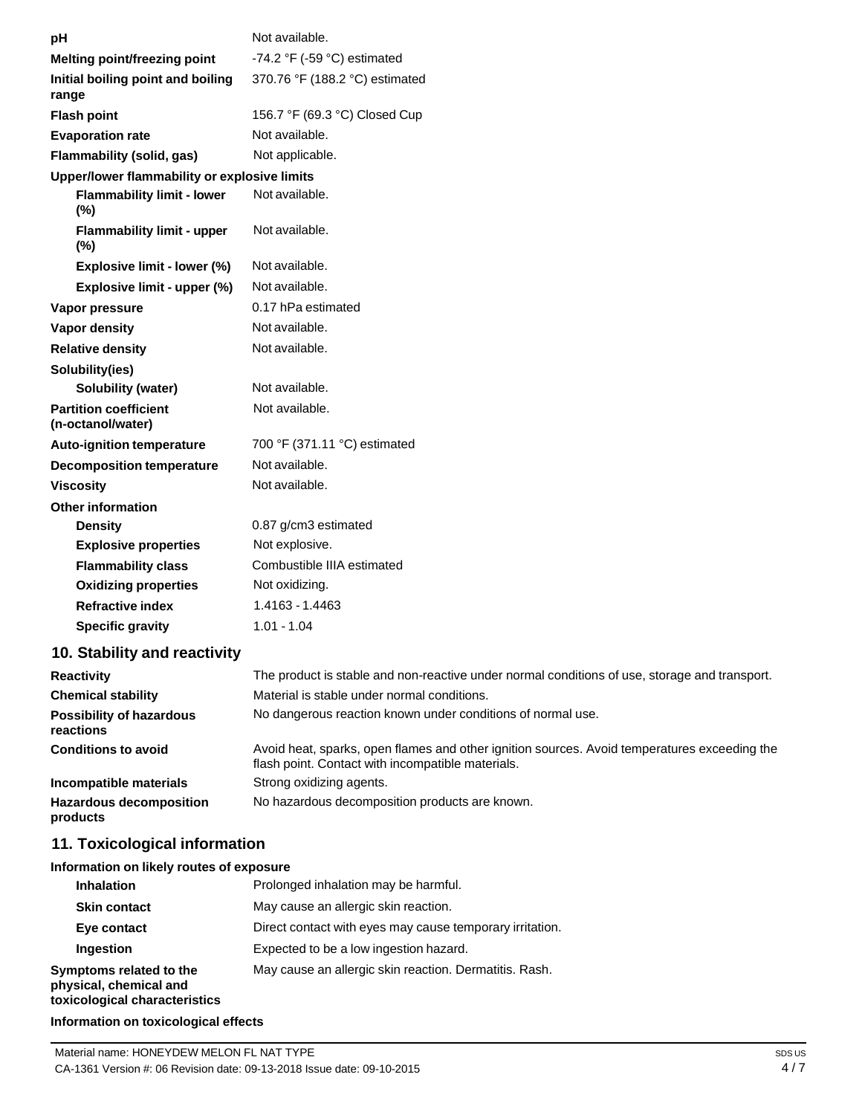| рH                                                | Not available.                                                                                                                                    |
|---------------------------------------------------|---------------------------------------------------------------------------------------------------------------------------------------------------|
| Melting point/freezing point                      | -74.2 °F (-59 °C) estimated                                                                                                                       |
| Initial boiling point and boiling<br>range        | 370.76 °F (188.2 °C) estimated                                                                                                                    |
| <b>Flash point</b>                                | 156.7 °F (69.3 °C) Closed Cup                                                                                                                     |
| <b>Evaporation rate</b>                           | Not available.                                                                                                                                    |
| Flammability (solid, gas)                         | Not applicable.                                                                                                                                   |
| Upper/lower flammability or explosive limits      |                                                                                                                                                   |
| <b>Flammability limit - lower</b><br>$(\%)$       | Not available.                                                                                                                                    |
| <b>Flammability limit - upper</b><br>$(\%)$       | Not available.                                                                                                                                    |
| Explosive limit - lower (%)                       | Not available.                                                                                                                                    |
| Explosive limit - upper (%)                       | Not available.                                                                                                                                    |
| Vapor pressure                                    | 0.17 hPa estimated                                                                                                                                |
| <b>Vapor density</b>                              | Not available.                                                                                                                                    |
| <b>Relative density</b>                           | Not available.                                                                                                                                    |
| Solubility(ies)                                   |                                                                                                                                                   |
| <b>Solubility (water)</b>                         | Not available.                                                                                                                                    |
| <b>Partition coefficient</b><br>(n-octanol/water) | Not available.                                                                                                                                    |
| Auto-ignition temperature                         | 700 °F (371.11 °C) estimated                                                                                                                      |
| <b>Decomposition temperature</b>                  | Not available.                                                                                                                                    |
| <b>Viscosity</b>                                  | Not available.                                                                                                                                    |
| <b>Other information</b>                          |                                                                                                                                                   |
| <b>Density</b>                                    | 0.87 g/cm3 estimated                                                                                                                              |
| <b>Explosive properties</b>                       | Not explosive.                                                                                                                                    |
| <b>Flammability class</b>                         | Combustible IIIA estimated                                                                                                                        |
| <b>Oxidizing properties</b>                       | Not oxidizing.                                                                                                                                    |
| <b>Refractive index</b>                           | 1.4163 - 1.4463                                                                                                                                   |
| <b>Specific gravity</b>                           | $1.01 - 1.04$                                                                                                                                     |
| 10. Stability and reactivity                      |                                                                                                                                                   |
| <b>Reactivity</b>                                 | The product is stable and non-reactive under normal conditions of use, storage and transport.                                                     |
| <b>Chemical stability</b>                         | Material is stable under normal conditions.                                                                                                       |
| <b>Possibility of hazardous</b><br>reactions      | No dangerous reaction known under conditions of normal use.                                                                                       |
| <b>Conditions to avoid</b>                        | Avoid heat, sparks, open flames and other ignition sources. Avoid temperatures exceeding the<br>flash point. Contact with incompatible materials. |
| Incompatible materials                            | Strong oxidizing agents.                                                                                                                          |
| <b>Hazardous decomposition</b><br>products        | No hazardous decomposition products are known.                                                                                                    |
| 11. Toxicological information                     |                                                                                                                                                   |
| Information on likely routes of exposure          |                                                                                                                                                   |

| <b>Inhalation</b>                                                                  | Prolonged inhalation may be harmful.                     |
|------------------------------------------------------------------------------------|----------------------------------------------------------|
| <b>Skin contact</b>                                                                | May cause an allergic skin reaction.                     |
| Eye contact                                                                        | Direct contact with eyes may cause temporary irritation. |
| Ingestion                                                                          | Expected to be a low ingestion hazard.                   |
| Symptoms related to the<br>physical, chemical and<br>toxicological characteristics | May cause an allergic skin reaction. Dermatitis. Rash.   |

#### **Information on toxicological effects**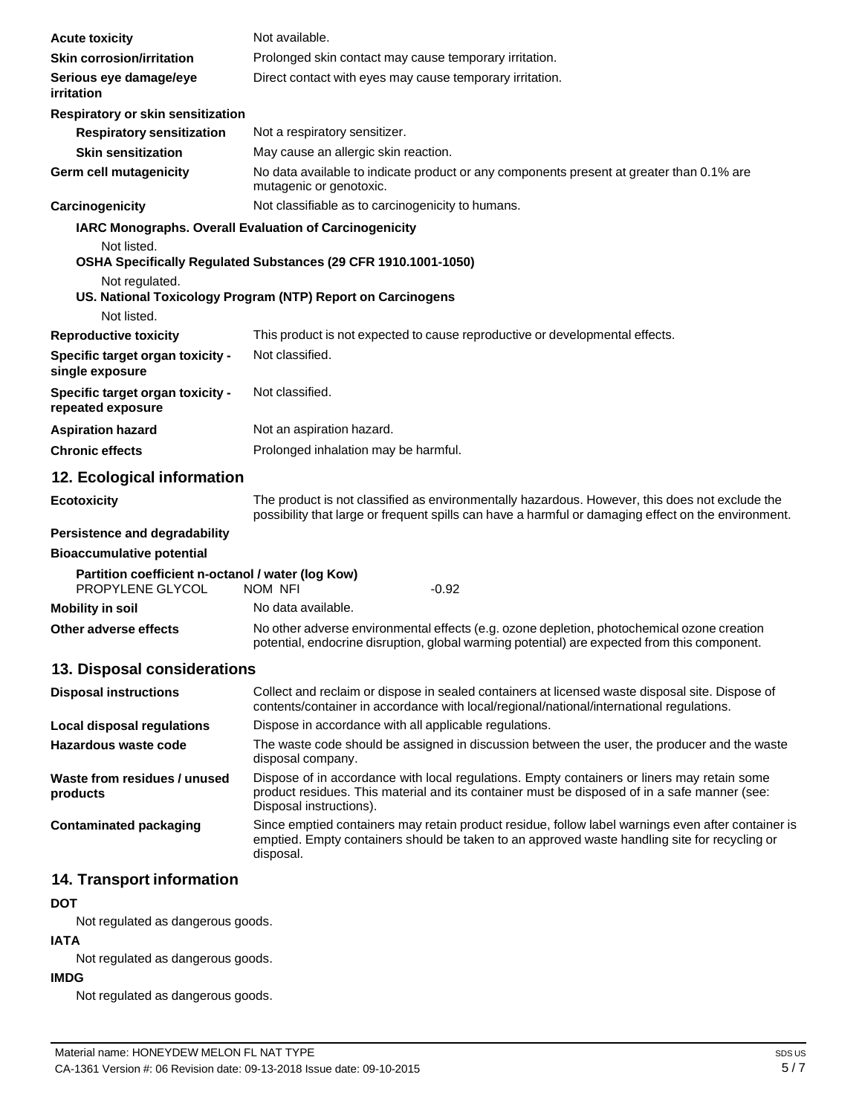| <b>Acute toxicity</b>                                                 | Not available.                                                                                                                                                                                                         |
|-----------------------------------------------------------------------|------------------------------------------------------------------------------------------------------------------------------------------------------------------------------------------------------------------------|
| <b>Skin corrosion/irritation</b>                                      | Prolonged skin contact may cause temporary irritation.                                                                                                                                                                 |
| Serious eye damage/eye<br><i>irritation</i>                           | Direct contact with eyes may cause temporary irritation.                                                                                                                                                               |
| Respiratory or skin sensitization                                     |                                                                                                                                                                                                                        |
| <b>Respiratory sensitization</b>                                      | Not a respiratory sensitizer.                                                                                                                                                                                          |
| <b>Skin sensitization</b>                                             | May cause an allergic skin reaction.                                                                                                                                                                                   |
| Germ cell mutagenicity                                                | No data available to indicate product or any components present at greater than 0.1% are<br>mutagenic or genotoxic.                                                                                                    |
| Carcinogenicity                                                       | Not classifiable as to carcinogenicity to humans.                                                                                                                                                                      |
| <b>IARC Monographs. Overall Evaluation of Carcinogenicity</b>         |                                                                                                                                                                                                                        |
| Not listed.                                                           |                                                                                                                                                                                                                        |
| Not regulated.                                                        | OSHA Specifically Regulated Substances (29 CFR 1910.1001-1050)                                                                                                                                                         |
|                                                                       | US. National Toxicology Program (NTP) Report on Carcinogens                                                                                                                                                            |
| Not listed.                                                           |                                                                                                                                                                                                                        |
| <b>Reproductive toxicity</b>                                          | This product is not expected to cause reproductive or developmental effects.                                                                                                                                           |
| Specific target organ toxicity -<br>single exposure                   | Not classified.                                                                                                                                                                                                        |
| Specific target organ toxicity -<br>repeated exposure                 | Not classified.                                                                                                                                                                                                        |
| <b>Aspiration hazard</b>                                              | Not an aspiration hazard.                                                                                                                                                                                              |
| <b>Chronic effects</b>                                                | Prolonged inhalation may be harmful.                                                                                                                                                                                   |
| 12. Ecological information                                            |                                                                                                                                                                                                                        |
| <b>Ecotoxicity</b>                                                    | The product is not classified as environmentally hazardous. However, this does not exclude the<br>possibility that large or frequent spills can have a harmful or damaging effect on the environment.                  |
| Persistence and degradability                                         |                                                                                                                                                                                                                        |
| <b>Bioaccumulative potential</b>                                      |                                                                                                                                                                                                                        |
| Partition coefficient n-octanol / water (log Kow)<br>PROPYLENE GLYCOL | NOM NFI<br>-0.92                                                                                                                                                                                                       |
| <b>Mobility in soil</b>                                               | No data available.                                                                                                                                                                                                     |
| Other adverse effects                                                 | No other adverse environmental effects (e.g. ozone depletion, photochemical ozone creation<br>potential, endocrine disruption, global warming potential) are expected from this component.                             |
| 13. Disposal considerations                                           |                                                                                                                                                                                                                        |
| <b>Disposal instructions</b>                                          | Collect and reclaim or dispose in sealed containers at licensed waste disposal site. Dispose of<br>contents/container in accordance with local/regional/national/international regulations.                            |
| Local disposal regulations                                            | Dispose in accordance with all applicable regulations.                                                                                                                                                                 |
| Hazardous waste code                                                  | The waste code should be assigned in discussion between the user, the producer and the waste<br>disposal company.                                                                                                      |
| Waste from residues / unused<br>products                              | Dispose of in accordance with local regulations. Empty containers or liners may retain some<br>product residues. This material and its container must be disposed of in a safe manner (see:<br>Disposal instructions). |
| <b>Contaminated packaging</b>                                         | Since emptied containers may retain product residue, follow label warnings even after container is<br>emptied. Empty containers should be taken to an approved waste handling site for recycling or<br>disposal.       |
| 14. Transport information                                             |                                                                                                                                                                                                                        |
| <b>DOT</b>                                                            |                                                                                                                                                                                                                        |
| Not regulated as dangerous goods.                                     |                                                                                                                                                                                                                        |

#### **IATA**

Not regulated as dangerous goods.

#### **IMDG**

Not regulated as dangerous goods.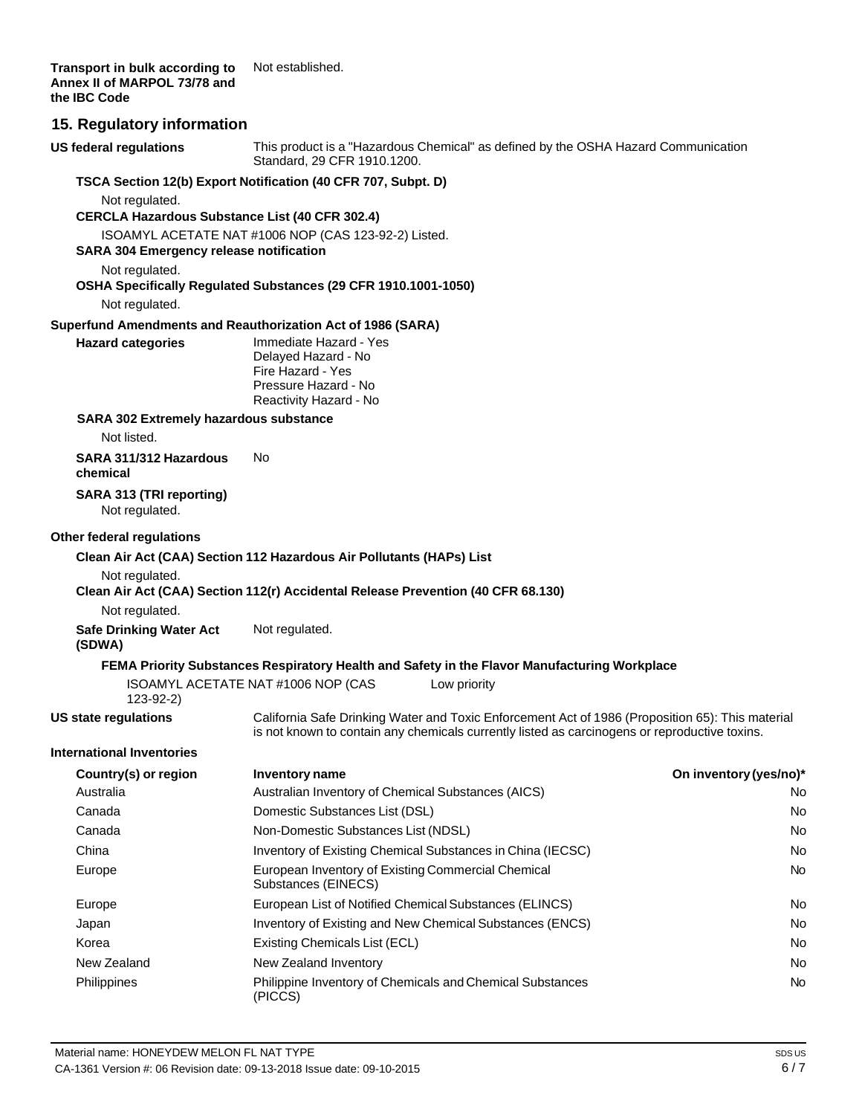**Transport in bulk according to Annex II of MARPOL 73/78 and the IBC Code** Not established.

#### **15. Regulatory information**

**US federal regulations** This product is a "Hazardous Chemical" as defined by the OSHA Hazard Communication Standard, 29 CFR 1910.1200. **TSCA Section 12(b) Export Notification (40 CFR 707, Subpt. D)** Not regulated. **CERCLA Hazardous Substance List (40 CFR 302.4)** ISOAMYL ACETATE NAT #1006 NOP (CAS 123-92-2) Listed. **SARA 304 Emergency release notification** Not regulated. **OSHA Specifically Regulated Substances (29 CFR 1910.1001-1050)** Not regulated. **Superfund Amendments and Reauthorization Act of 1986 (SARA) Hazard categories** Immediate Hazard - Yes Delayed Hazard - No Fire Hazard - Yes Pressure Hazard - No Reactivity Hazard - No **SARA 302 Extremely hazardous substance** Not listed. **SARA 311/312 Hazardous** No **chemical SARA 313 (TRI reporting)** Not regulated. **Other federal regulations Clean Air Act (CAA) Section 112 Hazardous Air Pollutants (HAPs) List** Not regulated. **Clean Air Act (CAA) Section 112(r) Accidental Release Prevention (40 CFR 68.130)** Not regulated. **Safe Drinking Water Act (SDWA)** Not regulated. **FEMA Priority Substances Respiratory Health and Safety in the Flavor Manufacturing Workplace** ISOAMYL ACETATE NAT #1006 NOP (CAS 123-92-2) Low priority **US state regulations International Inventories** California Safe Drinking Water and Toxic Enforcement Act of 1986 (Proposition 65): This material is not known to contain any chemicals currently listed as carcinogens or reproductive toxins. **Country(s) or region Inventory name On inventory(yes/no)\*** Australia **Australian Inventory of Chemical Substances (AICS)** No Canada Domestic Substances List (DSL) No Canada Non-Domestic Substances List (NDSL) No China **Inventory of Existing Chemical Substances in China (IECSC)** No **No** No Europe **European Inventory of Existing Commercial Chemical Chemical Chemical Chemical Chemical Chemical Chemical Chemical Chemical Chemical Chemical Chemical Chemical Chemical Chemical Chemical Chemical Chemical Chemical C** Substances (EINECS) Europe **European List of Notified Chemical Substances (ELINCS)** No Report of the Mo Japan **Inventory of Existing and New Chemical Substances (ENCS)** No No Korea **Existing Chemicals List (ECL)** No and the existing Chemicals List (ECL) No and the existing Chemicals List (ECL) New Zealand New Zealand Inventory No. 2008 No. 2012 12:30 No. 2012 No. 2013 Philippines **Philippine Inventory of Chemicals and Chemical Substances** No (PICCS)